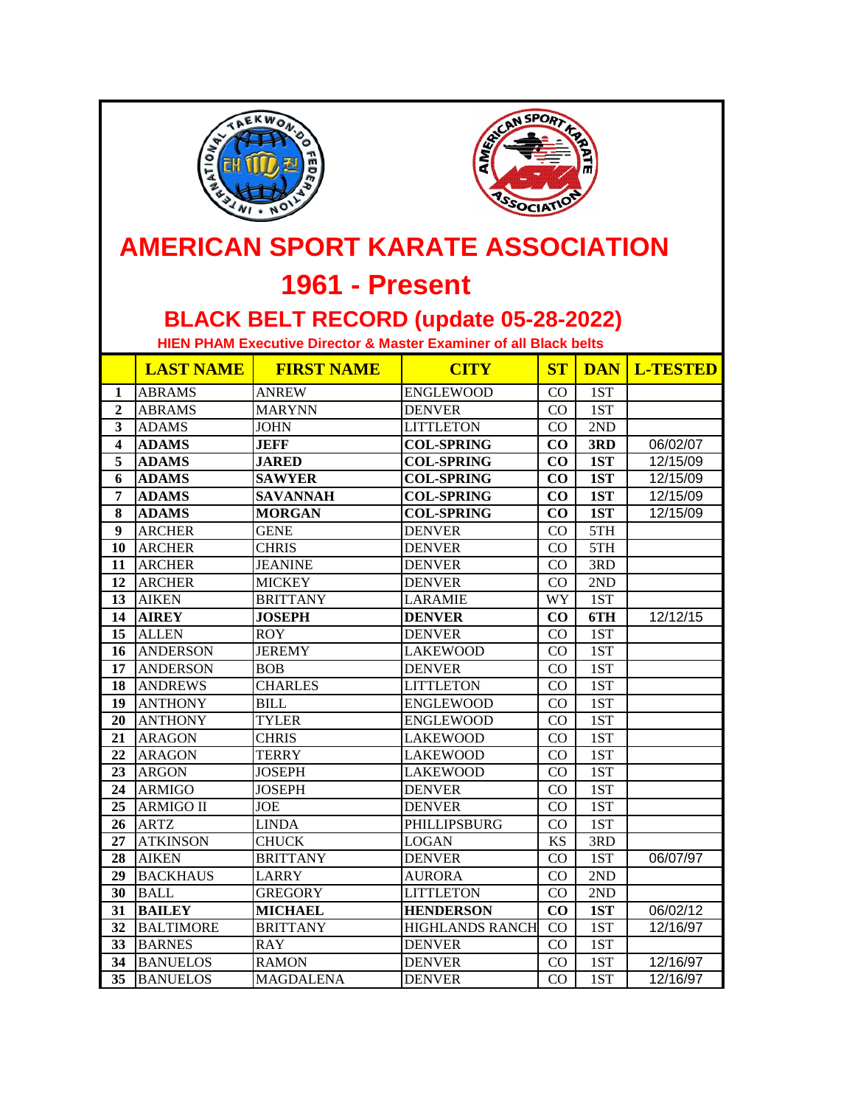



## **AMERICAN SPORT KARATE ASSOCIATION**

## **1961 - Present**

## **BLACK BELT RECORD (update 05-28-2022)**

 **HIEN PHAM Executive Director & Master Examiner of all Black belts**

|                         | <b>LAST NAME</b> | <b>FIRST NAME</b> | <b>CITY</b>            | ST        |     | <b>DAN L-TESTED</b>  |
|-------------------------|------------------|-------------------|------------------------|-----------|-----|----------------------|
| $\mathbf{1}$            | <b>ABRAMS</b>    | <b>ANREW</b>      | <b>ENGLEWOOD</b>       | CO        | 1ST |                      |
| $\overline{2}$          | <b>ABRAMS</b>    | <b>MARYNN</b>     | <b>DENVER</b>          | CO        | 1ST |                      |
| 3                       | <b>ADAMS</b>     | <b>JOHN</b>       | <b>LITTLETON</b>       | CO        | 2ND |                      |
| $\overline{\mathbf{4}}$ | <b>ADAMS</b>     | <b>JEFF</b>       | <b>COL-SPRING</b>      | CO        | 3RD | 06/02/07             |
| $\overline{\mathbf{5}}$ | <b>ADAMS</b>     | <b>JARED</b>      | <b>COL-SPRING</b>      | CO        | 1ST | 12/15/09             |
| 6                       | <b>ADAMS</b>     | <b>SAWYER</b>     | <b>COL-SPRING</b>      | CO        | 1ST | 12/15/09             |
| $\overline{7}$          | <b>ADAMS</b>     | <b>SAVANNAH</b>   | <b>COL-SPRING</b>      | CO        | 1ST | $\frac{1}{2}$ /15/09 |
| 8                       | <b>ADAMS</b>     | <b>MORGAN</b>     | <b>COL-SPRING</b>      | CO        | 1ST | 12/15/09             |
| $\boldsymbol{9}$        | <b>ARCHER</b>    | <b>GENE</b>       | <b>DENVER</b>          | CO        | 5TH |                      |
| 10                      | <b>ARCHER</b>    | <b>CHRIS</b>      | <b>DENVER</b>          | CO        | 5TH |                      |
| 11                      | <b>ARCHER</b>    | <b>JEANINE</b>    | <b>DENVER</b>          | CO        | 3RD |                      |
| 12                      | <b>ARCHER</b>    | <b>MICKEY</b>     | <b>DENVER</b>          | CO        | 2ND |                      |
| 13                      | <b>AIKEN</b>     | <b>BRITTANY</b>   | <b>LARAMIE</b>         | WY        | 1ST |                      |
| 14                      | <b>AIREY</b>     | <b>JOSEPH</b>     | <b>DENVER</b>          | $\bf CO$  | 6TH | 12/12/15             |
| 15                      | <b>ALLEN</b>     | <b>ROY</b>        | <b>DENVER</b>          | CO        | 1ST |                      |
| 16                      | <b>ANDERSON</b>  | <b>JEREMY</b>     | LAKEWOOD               | CO        | 1ST |                      |
| 17                      | <b>ANDERSON</b>  | <b>BOB</b>        | <b>DENVER</b>          | CO        | 1ST |                      |
| 18                      | <b>ANDREWS</b>   | <b>CHARLES</b>    | <b>LITTLETON</b>       | CO        | 1ST |                      |
| 19                      | <b>ANTHONY</b>   | <b>BILL</b>       | <b>ENGLEWOOD</b>       | CO        | 1ST |                      |
| 20                      | <b>ANTHONY</b>   | <b>TYLER</b>      | <b>ENGLEWOOD</b>       | CO        | 1ST |                      |
| 21                      | <b>ARAGON</b>    | <b>CHRIS</b>      | <b>LAKEWOOD</b>        | CO        | 1ST |                      |
| 22                      | <b>ARAGON</b>    | <b>TERRY</b>      | <b>LAKEWOOD</b>        | CO        | 1ST |                      |
| 23                      | <b>ARGON</b>     | <b>JOSEPH</b>     | <b>LAKEWOOD</b>        | CO        | 1ST |                      |
| 24                      | <b>ARMIGO</b>    | <b>JOSEPH</b>     | <b>DENVER</b>          | CO        | 1ST |                      |
| 25                      | <b>ARMIGO II</b> | <b>JOE</b>        | <b>DENVER</b>          | CO        | 1ST |                      |
| 26                      | <b>ARTZ</b>      | <b>LINDA</b>      | PHILLIPSBURG           | CO        | 1ST |                      |
| 27                      | <b>ATKINSON</b>  | <b>CHUCK</b>      | <b>LOGAN</b>           | <b>KS</b> | 3RD |                      |
| 28                      | <b>AIKEN</b>     | <b>BRITTANY</b>   | <b>DENVER</b>          | CO        | 1ST | 06/07/97             |
| 29                      | <b>BACKHAUS</b>  | <b>LARRY</b>      | <b>AURORA</b>          | CO        | 2ND |                      |
| 30                      | <b>BALL</b>      | <b>GREGORY</b>    | <b>LITTLETON</b>       | CO        | 2ND |                      |
| 31                      | <b>BAILEY</b>    | <b>MICHAEL</b>    | <b>HENDERSON</b>       | CO        | 1ST | 06/02/12             |
| $\overline{32}$         | <b>BALTIMORE</b> | <b>BRITTANY</b>   | <b>HIGHLANDS RANCH</b> | CO        | 1ST | 12/16/97             |
| 33                      | <b>BARNES</b>    | <b>RAY</b>        | <b>DENVER</b>          | $\rm CO$  | 1ST |                      |
| 34                      | <b>BANUELOS</b>  | <b>RAMON</b>      | <b>DENVER</b>          | CO        | 1ST | 12/16/97             |
| 35                      | <b>BANUELOS</b>  | <b>MAGDALENA</b>  | <b>DENVER</b>          | CO        | 1ST | 12/16/97             |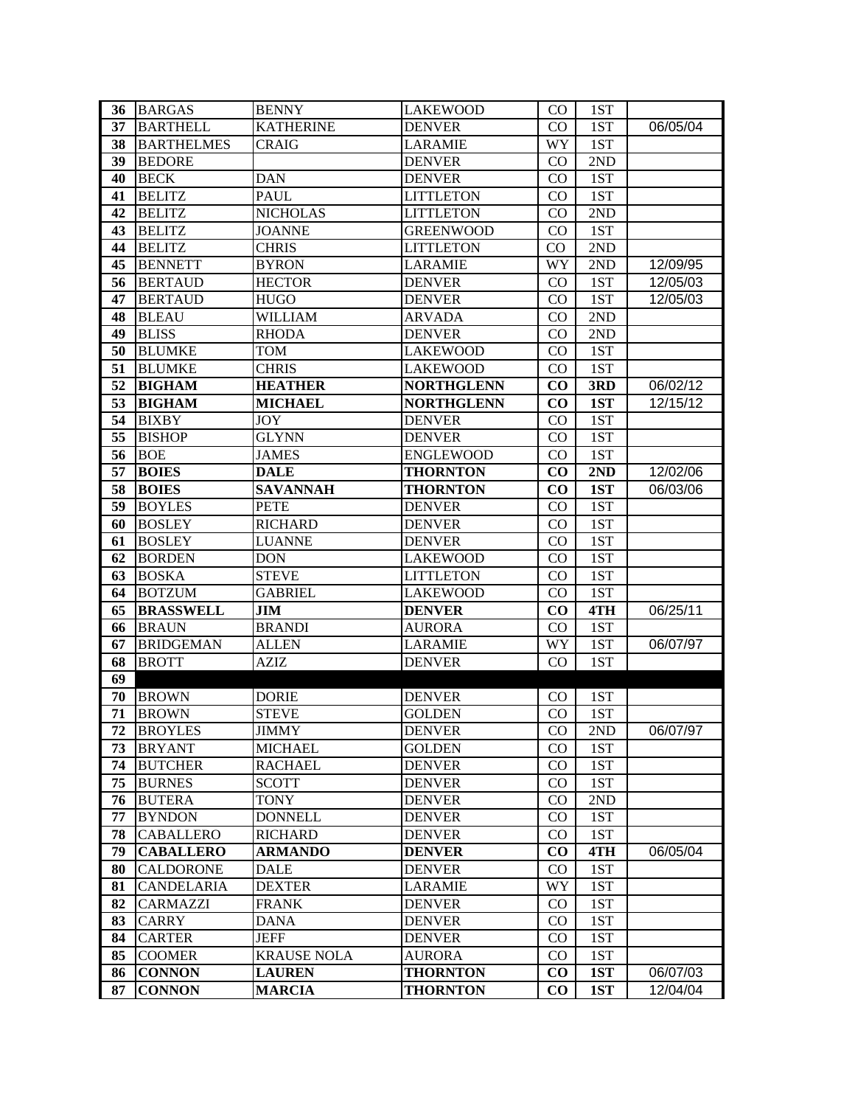| 36 | <b>BARGAS</b>     | <b>BENNY</b>       | <b>LAKEWOOD</b>   | CO <sub>2</sub> | 1ST |          |
|----|-------------------|--------------------|-------------------|-----------------|-----|----------|
| 37 | <b>BARTHELL</b>   | <b>KATHERINE</b>   | <b>DENVER</b>     | $\rm CO$        | 1ST | 06/05/04 |
| 38 | <b>BARTHELMES</b> | <b>CRAIG</b>       | <b>LARAMIE</b>    | WY              | 1ST |          |
| 39 | <b>BEDORE</b>     |                    | <b>DENVER</b>     | CO              | 2ND |          |
| 40 | <b>BECK</b>       | <b>DAN</b>         | <b>DENVER</b>     | $\rm CO$        | 1ST |          |
| 41 | <b>BELITZ</b>     | <b>PAUL</b>        | <b>LITTLETON</b>  | $\rm CO$        | 1ST |          |
| 42 | <b>BELITZ</b>     | <b>NICHOLAS</b>    | <b>LITTLETON</b>  | $\rm CO$        | 2ND |          |
| 43 | <b>BELITZ</b>     | <b>JOANNE</b>      | <b>GREENWOOD</b>  | CO              | 1ST |          |
| 44 | <b>BELITZ</b>     | <b>CHRIS</b>       | <b>LITTLETON</b>  | CO              | 2ND |          |
| 45 | <b>BENNETT</b>    | <b>BYRON</b>       | <b>LARAMIE</b>    | WY              | 2ND | 12/09/95 |
| 56 | <b>BERTAUD</b>    | <b>HECTOR</b>      | <b>DENVER</b>     | CO              | 1ST | 12/05/03 |
| 47 | <b>BERTAUD</b>    | <b>HUGO</b>        | <b>DENVER</b>     | $\rm CO$        | 1ST | 12/05/03 |
| 48 | <b>BLEAU</b>      | <b>WILLIAM</b>     | <b>ARVADA</b>     | $\rm CO$        | 2ND |          |
| 49 | <b>BLISS</b>      | <b>RHODA</b>       | <b>DENVER</b>     | $\rm CO$        | 2ND |          |
| 50 | <b>BLUMKE</b>     | <b>TOM</b>         | <b>LAKEWOOD</b>   | $\rm CO$        | 1ST |          |
| 51 | <b>BLUMKE</b>     | <b>CHRIS</b>       | <b>LAKEWOOD</b>   | CO              | 1ST |          |
| 52 | <b>BIGHAM</b>     | <b>HEATHER</b>     | <b>NORTHGLENN</b> | $\bf CO$        | 3RD | 06/02/12 |
| 53 | <b>BIGHAM</b>     | <b>MICHAEL</b>     | <b>NORTHGLENN</b> | $\bf CO$        | 1ST | 12/15/12 |
| 54 | <b>BIXBY</b>      | <b>JOY</b>         | <b>DENVER</b>     | $\rm CO$        | 1ST |          |
| 55 | <b>BISHOP</b>     | <b>GLYNN</b>       | <b>DENVER</b>     | CO              | 1ST |          |
| 56 | <b>BOE</b>        | <b>JAMES</b>       | <b>ENGLEWOOD</b>  | CO              | 1ST |          |
| 57 | <b>BOIES</b>      | <b>DALE</b>        | <b>THORNTON</b>   | $\bf CO$        | 2ND | 12/02/06 |
| 58 | <b>BOIES</b>      | <b>SAVANNAH</b>    | <b>THORNTON</b>   | $\bf CO$        | 1ST | 06/03/06 |
| 59 | <b>BOYLES</b>     | <b>PETE</b>        | <b>DENVER</b>     | $\rm CO$        | 1ST |          |
| 60 | <b>BOSLEY</b>     | <b>RICHARD</b>     | <b>DENVER</b>     | $\rm CO$        | 1ST |          |
| 61 | <b>BOSLEY</b>     | <b>LUANNE</b>      | <b>DENVER</b>     | CO              | 1ST |          |
| 62 | <b>BORDEN</b>     | <b>DON</b>         | <b>LAKEWOOD</b>   | $\rm CO$        | 1ST |          |
| 63 | <b>BOSKA</b>      | <b>STEVE</b>       | <b>LITTLETON</b>  | CO              | 1ST |          |
| 64 | <b>BOTZUM</b>     | <b>GABRIEL</b>     | <b>LAKEWOOD</b>   | $\rm CO$        | 1ST |          |
| 65 | <b>BRASSWELL</b>  | <b>JIM</b>         | <b>DENVER</b>     | $\bf CO$        | 4TH | 06/25/11 |
| 66 | <b>BRAUN</b>      | <b>BRANDI</b>      | <b>AURORA</b>     | $\rm CO$        | 1ST |          |
| 67 | <b>BRIDGEMAN</b>  | <b>ALLEN</b>       | <b>LARAMIE</b>    | WY              | 1ST | 06/07/97 |
| 68 | <b>BROTT</b>      | <b>AZIZ</b>        | <b>DENVER</b>     | $\rm CO$        | 1ST |          |
| 69 |                   |                    |                   |                 |     |          |
| 70 | <b>BROWN</b>      | <b>DORIE</b>       | <b>DENVER</b>     | $\rm CO$        | 1ST |          |
| 71 | <b>BROWN</b>      | <b>STEVE</b>       | <b>GOLDEN</b>     | CO              | 1ST |          |
| 72 | <b>BROYLES</b>    | <b>JIMMY</b>       | <b>DENVER</b>     | CO.             | 2ND | 06/07/97 |
| 73 | <b>BRYANT</b>     | <b>MICHAEL</b>     | <b>GOLDEN</b>     | $\rm CO$        | 1ST |          |
| 74 | <b>BUTCHER</b>    | <b>RACHAEL</b>     | <b>DENVER</b>     | CO.             | 1ST |          |
| 75 | <b>BURNES</b>     | <b>SCOTT</b>       | <b>DENVER</b>     | $\rm CO$        | 1ST |          |
| 76 | <b>BUTERA</b>     | <b>TONY</b>        | <b>DENVER</b>     | $\rm CO$        | 2ND |          |
| 77 | <b>BYNDON</b>     | <b>DONNELL</b>     | <b>DENVER</b>     | $\rm CO$        | 1ST |          |
| 78 | <b>CABALLERO</b>  | <b>RICHARD</b>     | <b>DENVER</b>     | CO              | 1ST |          |
| 79 | <b>CABALLERO</b>  | <b>ARMANDO</b>     | <b>DENVER</b>     | $\bf CO$        | 4TH | 06/05/04 |
| 80 | <b>CALDORONE</b>  | <b>DALE</b>        | <b>DENVER</b>     | $\rm CO$        | 1ST |          |
| 81 | CANDELARIA        | <b>DEXTER</b>      | <b>LARAMIE</b>    | <b>WY</b>       | 1ST |          |
| 82 | <b>CARMAZZI</b>   | <b>FRANK</b>       | <b>DENVER</b>     | $\rm CO$        | 1ST |          |
| 83 | <b>CARRY</b>      | <b>DANA</b>        | <b>DENVER</b>     | CO              | 1ST |          |
| 84 | <b>CARTER</b>     | <b>JEFF</b>        | <b>DENVER</b>     | $\rm CO$        | 1ST |          |
| 85 | <b>COOMER</b>     | <b>KRAUSE NOLA</b> | <b>AURORA</b>     | $\rm CO$        | 1ST |          |
| 86 | <b>CONNON</b>     | <b>LAUREN</b>      | <b>THORNTON</b>   | $\bf CO$        | 1ST | 06/07/03 |
| 87 | <b>CONNON</b>     | <b>MARCIA</b>      | <b>THORNTON</b>   | $\bf CO$        | 1ST | 12/04/04 |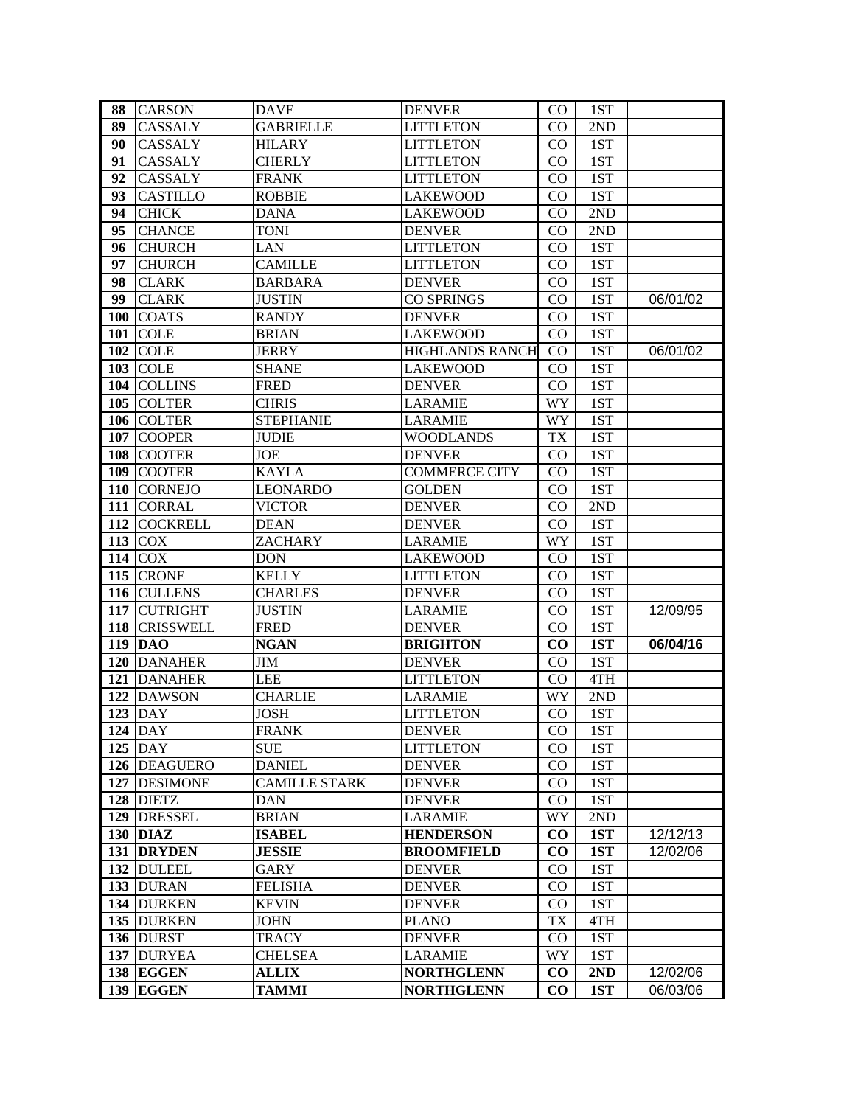| 88         | <b>CARSON</b>   | <b>DAVE</b>          | <b>DENVER</b>          | CO        | 1ST |                                      |
|------------|-----------------|----------------------|------------------------|-----------|-----|--------------------------------------|
| 89         | CASSALY         | <b>GABRIELLE</b>     | <b>LITTLETON</b>       | $\rm CO$  | 2ND |                                      |
| 90         | CASSALY         | <b>HILARY</b>        | <b>LITTLETON</b>       | CO.       | 1ST |                                      |
| 91         | CASSALY         | <b>CHERLY</b>        | <b>LITTLETON</b>       | $\rm CO$  | 1ST |                                      |
| 92         | CASSALY         | <b>FRANK</b>         | <b>LITTLETON</b>       | $\rm CO$  | 1ST |                                      |
| 93         | <b>CASTILLO</b> | <b>ROBBIE</b>        | <b>LAKEWOOD</b>        | $\rm CO$  | 1ST |                                      |
| 94         | <b>CHICK</b>    | <b>DANA</b>          | <b>LAKEWOOD</b>        | $\rm CO$  | 2ND |                                      |
| 95         | <b>CHANCE</b>   | <b>TONI</b>          | <b>DENVER</b>          | $\rm CO$  | 2ND |                                      |
| 96         | <b>CHURCH</b>   | <b>LAN</b>           | <b>LITTLETON</b>       | $\rm CO$  | 1ST |                                      |
| 97         | <b>CHURCH</b>   | <b>CAMILLE</b>       | <b>LITTLETON</b>       | $\rm CO$  | 1ST |                                      |
| 98         | <b>CLARK</b>    | <b>BARBARA</b>       | <b>DENVER</b>          | $\rm CO$  | 1ST |                                      |
| 99         | <b>CLARK</b>    | <b>JUSTIN</b>        | <b>CO SPRINGS</b>      | $\rm CO$  | 1ST | $\frac{1}{06}{\sqrt{0}}\frac{1}{02}$ |
| <b>100</b> | <b>COATS</b>    | <b>RANDY</b>         | <b>DENVER</b>          | $\rm CO$  | 1ST |                                      |
| 101        | <b>COLE</b>     | <b>BRIAN</b>         | <b>LAKEWOOD</b>        | CO        | 1ST |                                      |
| 102        | <b>COLE</b>     | JERRY                | <b>HIGHLANDS RANCH</b> | CO        | 1ST | 06/01/02                             |
| 103        | <b>COLE</b>     | <b>SHANE</b>         | <b>LAKEWOOD</b>        | CO        | 1ST |                                      |
| 104        | <b>COLLINS</b>  | <b>FRED</b>          | <b>DENVER</b>          | $\rm CO$  | 1ST |                                      |
| 105        | <b>COLTER</b>   | <b>CHRIS</b>         | LARAMIE                | WY        | 1ST |                                      |
|            | 106 COLTER      | <b>STEPHANIE</b>     | LARAMIE                | WY        | 1ST |                                      |
| 107        | <b>COOPER</b>   | JUDIE                | WOODLANDS              | TX        | 1ST |                                      |
| 108        | <b>COOTER</b>   | JOE                  | <b>DENVER</b>          | $\rm CO$  | 1ST |                                      |
| 109        | <b>COOTER</b>   | <b>KAYLA</b>         | <b>COMMERCE CITY</b>   | CO        | 1ST |                                      |
|            | 110 CORNEJO     | <b>LEONARDO</b>      | <b>GOLDEN</b>          | $\rm CO$  | 1ST |                                      |
| 111        | <b>CORRAL</b>   | <b>VICTOR</b>        | <b>DENVER</b>          | $\rm CO$  | 2ND |                                      |
| 112        | <b>COCKRELL</b> | <b>DEAN</b>          | <b>DENVER</b>          | $\rm CO$  | 1ST |                                      |
| 113        | <b>COX</b>      | ZACHARY              | <b>LARAMIE</b>         | WY        | 1ST |                                      |
|            | 114 $COX$       | <b>DON</b>           | <b>LAKEWOOD</b>        | $\rm CO$  | 1ST |                                      |
|            | 115 CRONE       | <b>KELLY</b>         | <b>LITTLETON</b>       | $\rm CO$  | 1ST |                                      |
|            | 116 CULLENS     | <b>CHARLES</b>       | <b>DENVER</b>          | $\rm CO$  | 1ST |                                      |
| 117        | <b>CUTRIGHT</b> | <b>JUSTIN</b>        | <b>LARAMIE</b>         | $\rm CO$  | 1ST | 12/09/95                             |
|            | 118 CRISSWELL   | <b>FRED</b>          | <b>DENVER</b>          | CO        | 1ST |                                      |
|            | $119$ DAO       | <b>NGAN</b>          | <b>BRIGHTON</b>        | $\bf CO$  | 1ST | 06/04/16                             |
| <b>120</b> | <b>DANAHER</b>  | JIM                  | <b>DENVER</b>          | $\rm CO$  | 1ST |                                      |
| 121        | <b>DANAHER</b>  | <b>LEE</b>           | <b>LITTLETON</b>       | $\rm CO$  | 4TH |                                      |
| 122        | <b>DAWSON</b>   | <b>CHARLIE</b>       | <b>LARAMIE</b>         | WY        | 2ND |                                      |
|            | $123$ DAY       | <b>JOSH</b>          | <b>LITTLETON</b>       | CO        | 1ST |                                      |
|            | 124 $ DAY $     | <b>FRANK</b>         | <b>DENVER</b>          | CO        | 1ST |                                      |
|            | $125$ DAY       | <b>SUE</b>           | <b>LITTLETON</b>       | $\rm CO$  | 1ST |                                      |
|            | 126 DEAGUERO    | <b>DANIEL</b>        | <b>DENVER</b>          | $\rm CO$  | 1ST |                                      |
| 127        | <b>DESIMONE</b> | <b>CAMILLE STARK</b> | <b>DENVER</b>          | $\rm CO$  | 1ST |                                      |
|            | 128 DIETZ       | DAN                  | <b>DENVER</b>          | $\rm CO$  | 1ST |                                      |
| 129        | <b>DRESSEL</b>  | <b>BRIAN</b>         | <b>LARAMIE</b>         | WY        | 2ND |                                      |
|            | $130$ DIAZ      | <b>ISABEL</b>        | <b>HENDERSON</b>       | $\bf CO$  | 1ST | 12/12/13                             |
| 131        | <b>DRYDEN</b>   | <b>JESSIE</b>        | <b>BROOMFIELD</b>      | $\bf CO$  | 1ST | 12/02/06                             |
|            | 132 DULEEL      | GARY                 | <b>DENVER</b>          | $\rm CO$  | 1ST |                                      |
|            | 133 DURAN       | <b>FELISHA</b>       | <b>DENVER</b>          | $\rm CO$  | 1ST |                                      |
|            | 134 DURKEN      | <b>KEVIN</b>         | <b>DENVER</b>          | $\rm CO$  | 1ST |                                      |
|            | 135 DURKEN      | <b>JOHN</b>          | <b>PLANO</b>           | <b>TX</b> | 4TH |                                      |
|            | 136 DURST       | <b>TRACY</b>         | <b>DENVER</b>          | $\rm CO$  | 1ST |                                      |
| 137        | <b>DURYEA</b>   | <b>CHELSEA</b>       | <b>LARAMIE</b>         | WY        | 1ST |                                      |
| 138        | <b>EGGEN</b>    | <b>ALLIX</b>         | <b>NORTHGLENN</b>      | $\bf CO$  | 2ND | 12/02/06                             |
| 139        | <b>EGGEN</b>    | <b>TAMMI</b>         | <b>NORTHGLENN</b>      | $\bf CO$  | 1ST | 06/03/06                             |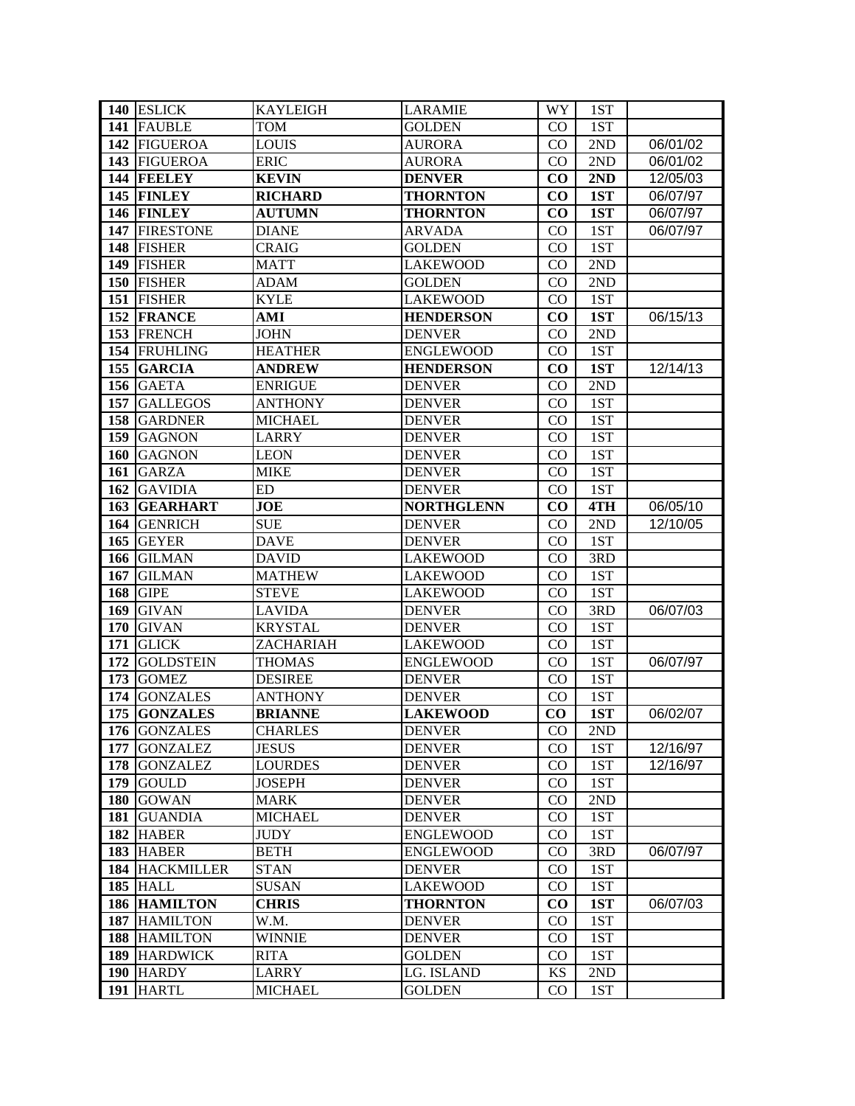|            | 140 ESLICK            | <b>KAYLEIGH</b> | LARAMIE           | WY.      | 1ST |                       |
|------------|-----------------------|-----------------|-------------------|----------|-----|-----------------------|
|            | 141 FAUBLE            | TOM             | GOLDEN            | $\rm CO$ | 1ST |                       |
|            | 142 FIGUEROA          | <b>LOUIS</b>    | <b>AURORA</b>     | $\rm CO$ | 2ND | 06/01/02              |
|            | 143 FIGUEROA          | <b>ERIC</b>     | <b>AURORA</b>     | $\rm CO$ | 2ND | 06/01/02              |
|            | 144 FEELEY            | <b>KEVIN</b>    | <b>DENVER</b>     | $\bf CO$ | 2ND | 12/05/03              |
|            | 145 FINLEY            | <b>RICHARD</b>  | <b>THORNTON</b>   | $\bf CO$ | 1ST | 06/07/97              |
|            | 146 FINLEY            | <b>AUTUMN</b>   | <b>THORNTON</b>   | $\bf CO$ | 1ST | 06/07/97              |
|            | 147 FIRESTONE         | <b>DIANE</b>    | <b>ARVADA</b>     | $\rm CO$ | 1ST | 06/07/97              |
|            | 148 FISHER            | <b>CRAIG</b>    | <b>GOLDEN</b>     | $\rm CO$ | 1ST |                       |
|            | 149 FISHER            | <b>MATT</b>     | <b>LAKEWOOD</b>   | CO       | 2ND |                       |
|            | 150 FISHER            | <b>ADAM</b>     | <b>GOLDEN</b>     | $\rm CO$ | 2ND |                       |
|            | 151 FISHER            | <b>KYLE</b>     | <b>LAKEWOOD</b>   | $\rm CO$ | 1ST |                       |
|            | 152 FRANCE            | AMI             | <b>HENDERSON</b>  | $\bf CO$ | 1ST | $\overline{06/15}/13$ |
|            | 153 FRENCH            | <b>JOHN</b>     | <b>DENVER</b>     | $\rm CO$ | 2ND |                       |
|            | 154 FRUHLING          | <b>HEATHER</b>  | <b>ENGLEWOOD</b>  | CO       | 1ST |                       |
| 155        | <b>GARCIA</b>         | <b>ANDREW</b>   | <b>HENDERSON</b>  | $\bf CO$ | 1ST | $\overline{12}/14/13$ |
| 156        | <b>GAETA</b>          | <b>ENRIGUE</b>  | <b>DENVER</b>     | $\rm CO$ | 2ND |                       |
| 157        | <b>GALLEGOS</b>       | ANTHONY         | <b>DENVER</b>     | $\rm CO$ | 1ST |                       |
| 158        | <b>GARDNER</b>        | <b>MICHAEL</b>  | <b>DENVER</b>     | $\rm CO$ | 1ST |                       |
| 159        | <b>GAGNON</b>         | LARRY           | <b>DENVER</b>     | CO       | 1ST |                       |
| <b>160</b> | <b>GAGNON</b>         | <b>LEON</b>     | <b>DENVER</b>     | $\rm CO$ | 1ST |                       |
| 161        | <b>GARZA</b>          | <b>MIKE</b>     | <b>DENVER</b>     | $\rm CO$ | 1ST |                       |
|            | 162 GAVIDIA           | ED              | <b>DENVER</b>     | CO       | 1ST |                       |
|            | 163 GEARHART          | <b>JOE</b>      | <b>NORTHGLENN</b> | $\bf CO$ | 4TH | 06/05/10              |
| 164        | <b>GENRICH</b>        | <b>SUE</b>      | <b>DENVER</b>     | $\rm CO$ | 2ND | 12/10/05              |
| 165        | <b>GEYER</b>          | <b>DAVE</b>     | <b>DENVER</b>     | $\rm CO$ | 1ST |                       |
| 166        | <b>GILMAN</b>         | <b>DAVID</b>    | <b>LAKEWOOD</b>   | CO       | 3RD |                       |
| 167        | <b>GILMAN</b>         | <b>MATHEW</b>   | <b>LAKEWOOD</b>   | CO       | 1ST |                       |
| 168        | <b>GIPE</b>           | <b>STEVE</b>    | <b>LAKEWOOD</b>   | $\rm CO$ | 1ST |                       |
| 169        | <b>GIVAN</b>          | <b>LAVIDA</b>   | <b>DENVER</b>     | $\rm CO$ | 3RD | 06/07/03              |
| 170        | <b>GIVAN</b>          | <b>KRYSTAL</b>  | <b>DENVER</b>     | $\rm CO$ | 1ST |                       |
| 171        | <b>GLICK</b>          | ZACHARIAH       | <b>LAKEWOOD</b>   | $\rm CO$ | 1ST |                       |
| 172        | <b>GOLDSTEIN</b>      | <b>THOMAS</b>   | <b>ENGLEWOOD</b>  | $\rm CO$ | 1ST | 06/07/97              |
| 173        | <b>GOMEZ</b>          | <b>DESIREE</b>  | <b>DENVER</b>     | $\rm CO$ | 1ST |                       |
| 174        | <b>GONZALES</b>       | ANTHONY         | <b>DENVER</b>     | $\rm CO$ | 1ST |                       |
| 175        | <b>GONZALES</b>       | <b>BRIANNE</b>  | <b>LAKEWOOD</b>   | $\bf CO$ | 1ST | 06/02/07              |
|            | 176 GONZALES          | <b>CHARLES</b>  | <b>DENVER</b>     | CO       | 2ND |                       |
| 177        | <b>GONZALEZ</b>       | <b>JESUS</b>    | <b>DENVER</b>     | $\rm CO$ | 1ST | 12/16/97              |
|            | 178 GONZALEZ          | <b>LOURDES</b>  | <b>DENVER</b>     | $\rm CO$ | 1ST | 12/16/97              |
| 179        | <b>GOULD</b>          | <b>JOSEPH</b>   | <b>DENVER</b>     | $\rm CO$ | 1ST |                       |
| <b>180</b> | <b>GOWAN</b>          | <b>MARK</b>     | <b>DENVER</b>     | $\rm CO$ | 2ND |                       |
| 181        | <b>GUANDIA</b>        | <b>MICHAEL</b>  | <b>DENVER</b>     | CO       | 1ST |                       |
|            | 182 HABER             | <b>JUDY</b>     | <b>ENGLEWOOD</b>  | $\rm CO$ | 1ST |                       |
|            | 183 HABER             | <b>BETH</b>     | <b>ENGLEWOOD</b>  | CO.      | 3RD | 06/07/97              |
|            | <b>184 HACKMILLER</b> | <b>STAN</b>     | <b>DENVER</b>     | $\rm CO$ | 1ST |                       |
|            | <b>185 HALL</b>       | <b>SUSAN</b>    | <b>LAKEWOOD</b>   | $\rm CO$ | 1ST |                       |
|            | 186 HAMILTON          | <b>CHRIS</b>    | <b>THORNTON</b>   | $\bf CO$ | 1ST | 06/07/03              |
|            | 187 HAMILTON          | W.M.            | <b>DENVER</b>     | CO       | 1ST |                       |
|            | 188 HAMILTON          | WINNIE          | <b>DENVER</b>     | $\rm CO$ | 1ST |                       |
|            | 189 HARDWICK          | <b>RITA</b>     | <b>GOLDEN</b>     | $\rm CO$ | 1ST |                       |
|            | 190 HARDY             | <b>LARRY</b>    | LG. ISLAND        | KS       | 2ND |                       |
| 191        | <b>HARTL</b>          | MICHAEL         | GOLDEN            | CO       | 1ST |                       |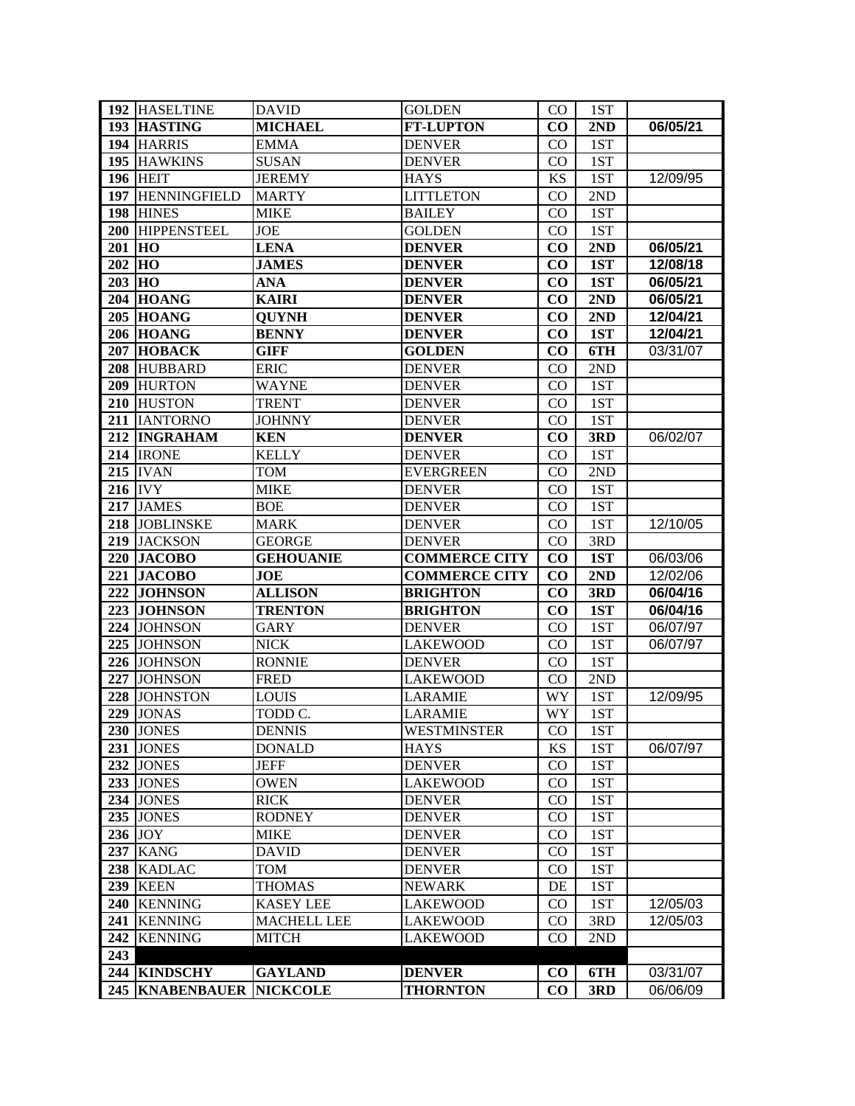|            | 192 HASELTINE       | <b>DAVID</b>       | <b>GOLDEN</b>        | CO <sub>2</sub> | 1ST         |          |
|------------|---------------------|--------------------|----------------------|-----------------|-------------|----------|
| 193        | <b>HASTING</b>      | <b>MICHAEL</b>     | <b>FT-LUPTON</b>     | $\bf CO$        | 2ND         | 06/05/21 |
|            | 194 HARRIS          | <b>EMMA</b>        | <b>DENVER</b>        | CO              | 1ST         |          |
|            | 195 HAWKINS         | <b>SUSAN</b>       | <b>DENVER</b>        | $\rm CO$        | 1ST         |          |
|            | <b>196 HEIT</b>     | <b>JEREMY</b>      | <b>HAYS</b>          | KS              | 1ST         | 12/09/95 |
| 197        | <b>HENNINGFIELD</b> | <b>MARTY</b>       | <b>LITTLETON</b>     | $\rm CO$        | 2ND         |          |
|            | 198 HINES           | <b>MIKE</b>        | <b>BAILEY</b>        | $\rm CO$        | 1ST         |          |
|            | 200 HIPPENSTEEL     | <b>JOE</b>         | <b>GOLDEN</b>        | CO              | 1ST         |          |
| 201        | <b>HO</b>           | <b>LENA</b>        | <b>DENVER</b>        | $\bf CO$        | 2ND         | 06/05/21 |
| 202        | HO                  | <b>JAMES</b>       | <b>DENVER</b>        | $\bf CO$        | 1ST         | 12/08/18 |
| $203$ HO   |                     | <b>ANA</b>         | <b>DENVER</b>        | $\bf CO$        | 1ST         | 06/05/21 |
|            | <b>204 HOANG</b>    | <b>KAIRI</b>       | <b>DENVER</b>        | $\bf CO$        | 2ND         | 06/05/21 |
|            | $205$ HOANG         | <b>QUYNH</b>       | <b>DENVER</b>        | $\bf CO$        | 2ND         | 12/04/21 |
|            | <b>206 HOANG</b>    | <b>BENNY</b>       | <b>DENVER</b>        | $\bf CO$        | 1ST         | 12/04/21 |
|            | 207 HOBACK          | <b>GIFF</b>        | <b>GOLDEN</b>        | $\bf CO$        | 6TH         | 03/31/07 |
|            | 208 HUBBARD         | <b>ERIC</b>        | <b>DENVER</b>        | $\rm CO$        | 2ND         |          |
|            | 209 HURTON          | <b>WAYNE</b>       | <b>DENVER</b>        | $\rm CO$        | 1ST         |          |
|            | 210 HUSTON          | <b>TRENT</b>       | <b>DENVER</b>        | $\rm CO$        | 1ST         |          |
| 211        | <b>IANTORNO</b>     | <b>JOHNNY</b>      | <b>DENVER</b>        | $\rm CO$        | 1ST         |          |
|            | 212 INGRAHAM        | KEN                | <b>DENVER</b>        | CO              | 3RD         | 06/02/07 |
|            | 214 IRONE           | <b>KELLY</b>       | <b>DENVER</b>        | CO              | 1ST         |          |
|            | <b>215 IVAN</b>     | TOM                | <b>EVERGREEN</b>     | $_{\rm CO}$     | 2ND         |          |
|            | <b>216</b> IVY      | <b>MIKE</b>        | <b>DENVER</b>        | $_{\rm CO}$     | 1ST         |          |
|            | 217 JAMES           | <b>BOE</b>         | <b>DENVER</b>        | $\rm CO$        | 1ST         |          |
|            | 218 JOBLINSKE       | <b>MARK</b>        | <b>DENVER</b>        | CO              | 1ST         | 12/10/05 |
|            | 219 JACKSON         | <b>GEORGE</b>      | <b>DENVER</b>        | CO              | 3RD         |          |
|            |                     |                    |                      |                 |             |          |
| 220        | <b>JACOBO</b>       | <b>GEHOUANIE</b>   | <b>COMMERCE CITY</b> | CO              | 1ST         | 06/03/06 |
| 221        | <b>JACOBO</b>       | <b>JOE</b>         | <b>COMMERCE CITY</b> | CO              | 2ND         | 12/02/06 |
| 222        | <b>JOHNSON</b>      | <b>ALLISON</b>     | <b>BRIGHTON</b>      | $\bf CO$        | 3RD         | 06/04/16 |
|            | 223 JOHNSON         | <b>TRENTON</b>     | <b>BRIGHTON</b>      | $\bf CO$        | 1ST         | 06/04/16 |
|            | 224 JOHNSON         | GARY               | <b>DENVER</b>        | $\rm CO$        | 1ST         | 06/07/97 |
|            | 225 JOHNSON         | <b>NICK</b>        | <b>LAKEWOOD</b>      | $\rm CO$        | 1ST         | 06/07/97 |
|            | 226 JOHNSON         | <b>RONNIE</b>      | <b>DENVER</b>        | $\rm CO$        | 1ST         |          |
| 227        | <b>JOHNSON</b>      | <b>FRED</b>        | <b>LAKEWOOD</b>      | CO              | $2{\rm ND}$ |          |
| 228        | <b>JOHNSTON</b>     | LOUIS              | LARAMIE              | WY              | 1ST         | 12/09/95 |
| 229        | <b>JONAS</b>        | TODD C.            | LARAMIE              | WY              | 1ST         |          |
|            | 230 JONES           | <b>DENNIS</b>      | WESTMINSTER          | CO.             | 1ST         |          |
|            | 231 JONES           | <b>DONALD</b>      | <b>HAYS</b>          | KS              | 1ST         | 06/07/97 |
|            | 232 JONES           | <b>JEFF</b>        | <b>DENVER</b>        | CO.             | 1ST         |          |
|            | 233 JONES           | <b>OWEN</b>        | <b>LAKEWOOD</b>      | $\rm CO$        | 1ST         |          |
|            | 234 JONES           | <b>RICK</b>        | <b>DENVER</b>        | $\rm CO$        | 1ST         |          |
|            | 235 JONES           | <b>RODNEY</b>      | <b>DENVER</b>        | CO              | 1ST         |          |
|            | 236 JOY             | <b>MIKE</b>        | <b>DENVER</b>        | CO              | 1ST         |          |
| 237        | <b>KANG</b>         | <b>DAVID</b>       | <b>DENVER</b>        | CO              | 1ST         |          |
| 238        | <b>KADLAC</b>       | <b>TOM</b>         | <b>DENVER</b>        | CO.             | 1ST         |          |
| 239        | <b>KEEN</b>         | <b>THOMAS</b>      | <b>NEWARK</b>        | DE              | 1ST         |          |
| <b>240</b> | <b>KENNING</b>      | <b>KASEY LEE</b>   | LAKEWOOD             | $\rm CO$        | 1ST         | 12/05/03 |
| 241        | <b>KENNING</b>      | <b>MACHELL LEE</b> | <b>LAKEWOOD</b>      | $\rm CO$        | 3RD         | 12/05/03 |
| 242        | <b>KENNING</b>      | <b>MITCH</b>       | <b>LAKEWOOD</b>      | $\rm CO$        | 2ND         |          |
| 243        |                     |                    |                      |                 |             |          |
| 244        | <b>KINDSCHY</b>     | <b>GAYLAND</b>     | <b>DENVER</b>        | $\bf CO$        | 6TH         | 03/31/07 |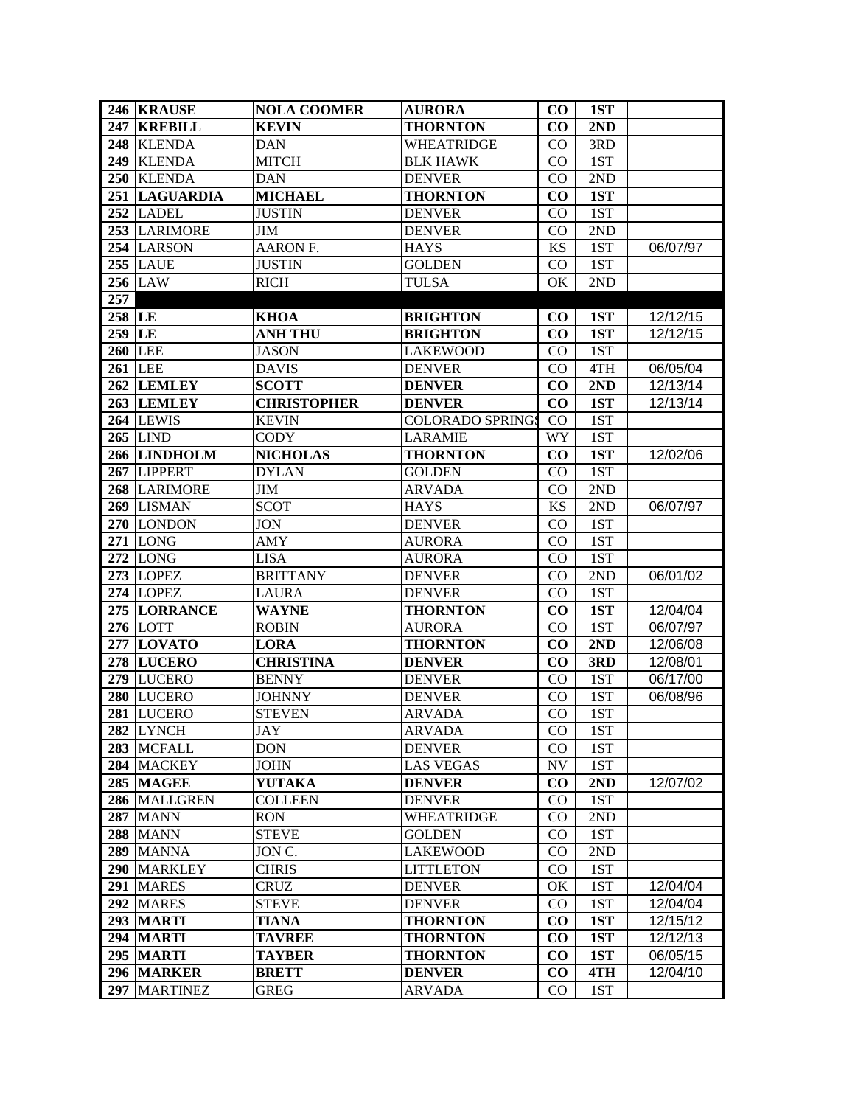|        | 246 KRAUSE        | <b>NOLA COOMER</b> | <b>AURORA</b>           | $\bf CO$  | 1ST |          |
|--------|-------------------|--------------------|-------------------------|-----------|-----|----------|
| 247    | <b>KREBILL</b>    | <b>KEVIN</b>       | <b>THORNTON</b>         | $\bf CO$  | 2ND |          |
| 248    | <b>KLENDA</b>     | <b>DAN</b>         | WHEATRIDGE              | CO        | 3RD |          |
| 249    | <b>KLENDA</b>     | <b>MITCH</b>       | <b>BLK HAWK</b>         | $\rm CO$  | 1ST |          |
| 250    | <b>KLENDA</b>     | <b>DAN</b>         | <b>DENVER</b>           | $\rm CO$  | 2ND |          |
| 251    | <b>LAGUARDIA</b>  | <b>MICHAEL</b>     | <b>THORNTON</b>         | $\bf CO$  | 1ST |          |
|        | 252 LADEL         | <b>JUSTIN</b>      | <b>DENVER</b>           | $\rm CO$  | 1ST |          |
|        | 253 LARIMORE      | JIM                | <b>DENVER</b>           | CO        | 2ND |          |
|        | 254 LARSON        | AARON F.           | <b>HAYS</b>             | <b>KS</b> | 1ST | 06/07/97 |
|        | <b>255 LAUE</b>   | <b>JUSTIN</b>      | <b>GOLDEN</b>           | CO        | 1ST |          |
|        | <b>256 LAW</b>    | <b>RICH</b>        | <b>TULSA</b>            | OK        | 2ND |          |
| 257    |                   |                    |                         |           |     |          |
| 258 LE |                   | <b>KHOA</b>        | <b>BRIGHTON</b>         | $\bf CO$  | 1ST | 12/12/15 |
| 259 LE |                   | <b>ANH THU</b>     | <b>BRIGHTON</b>         | $\bf CO$  | 1ST | 12/12/15 |
|        | <b>260 LEE</b>    | <b>JASON</b>       | <b>LAKEWOOD</b>         | $\rm CO$  | 1ST |          |
|        | <b>261 LEE</b>    | <b>DAVIS</b>       | <b>DENVER</b>           | CO        | 4TH | 06/05/04 |
|        | 262 LEMLEY        | <b>SCOTT</b>       | <b>DENVER</b>           | $\bf CO$  | 2ND | 12/13/14 |
|        | 263 LEMLEY        | <b>CHRISTOPHER</b> | <b>DENVER</b>           | $\bf CO$  | 1ST | 12/13/14 |
|        | 264 LEWIS         | <b>KEVIN</b>       | <b>COLORADO SPRINGS</b> | $\rm CO$  | 1ST |          |
|        | <b>265 LIND</b>   | <b>CODY</b>        | <b>LARAMIE</b>          | WY        | 1ST |          |
|        | 266 LINDHOLM      | <b>NICHOLAS</b>    | <b>THORNTON</b>         | $\bf CO$  | 1ST | 12/02/06 |
| 267    | <b>LIPPERT</b>    | <b>DYLAN</b>       | <b>GOLDEN</b>           | $\rm CO$  | 1ST |          |
|        | 268 LARIMORE      | JIM                | <b>ARVADA</b>           | CO        | 2ND |          |
|        | 269 LISMAN        | <b>SCOT</b>        | <b>HAYS</b>             | <b>KS</b> | 2ND | 06/07/97 |
|        | 270 LONDON        | <b>JON</b>         | <b>DENVER</b>           | $\rm CO$  | 1ST |          |
| 271    | <b>LONG</b>       | <b>AMY</b>         | <b>AURORA</b>           | CO        | 1ST |          |
|        | <b>272 LONG</b>   | <b>LISA</b>        | <b>AURORA</b>           | CO        | 1ST |          |
|        | <b>273 LOPEZ</b>  | <b>BRITTANY</b>    | <b>DENVER</b>           | CO        | 2ND | 06/01/02 |
|        | <b>274 LOPEZ</b>  | <b>LAURA</b>       | <b>DENVER</b>           | $\rm CO$  | 1ST |          |
|        | 275 LORRANCE      | WAYNE              | <b>THORNTON</b>         | $\bf CO$  | 1ST | 12/04/04 |
|        | <b>276 LOTT</b>   | <b>ROBIN</b>       | <b>AURORA</b>           | $\rm CO$  | 1ST | 06/07/97 |
|        | <b>277 LOVATO</b> | <b>LORA</b>        | <b>THORNTON</b>         | $\bf CO$  | 2ND | 12/06/08 |
|        | <b>278 LUCERO</b> | <b>CHRISTINA</b>   | <b>DENVER</b>           | $\bf CO$  | 3RD | 12/08/01 |
|        | 279 LUCERO        | <b>BENNY</b>       | <b>DENVER</b>           | $\rm CO$  | 1ST | 06/17/00 |
| 280    | <b>LUCERO</b>     | <b>JOHNNY</b>      | <b>DENVER</b>           | $\rm CO$  | 1ST | 06/08/96 |
| 281    | <b>LUCERO</b>     | <b>STEVEN</b>      | <b>ARVADA</b>           | CO        | 1ST |          |
|        | 282 LYNCH         | JAY                | ARVADA                  | CO.       | 1ST |          |
|        | 283 MCFALL        | <b>DON</b>         | <b>DENVER</b>           | $\rm CO$  | 1ST |          |
|        | 284 MACKEY        | <b>JOHN</b>        | <b>LAS VEGAS</b>        | NV        | 1ST |          |
|        | 285 MAGEE         | <b>YUTAKA</b>      | <b>DENVER</b>           | $\bf CO$  | 2ND | 12/07/02 |
| 286    | <b>MALLGREN</b>   | <b>COLLEEN</b>     | <b>DENVER</b>           | $\rm CO$  | 1ST |          |
| 287    | <b>MANN</b>       | <b>RON</b>         | <b>WHEATRIDGE</b>       | CO        | 2ND |          |
| 288    | <b>MANN</b>       | <b>STEVE</b>       | <b>GOLDEN</b>           | $\rm CO$  | 1ST |          |
| 289    | <b>MANNA</b>      | JON C.             | <b>LAKEWOOD</b>         | CO        | 2ND |          |
| 290    | <b>MARKLEY</b>    | <b>CHRIS</b>       | <b>LITTLETON</b>        | CO        | 1ST |          |
| 291    | <b>MARES</b>      | CRUZ               | <b>DENVER</b>           | OK        | 1ST | 12/04/04 |
|        | 292 MARES         | <b>STEVE</b>       | <b>DENVER</b>           | $\rm CO$  | 1ST | 12/04/04 |
|        | 293 MARTI         | <b>TIANA</b>       | <b>THORNTON</b>         | $\bf CO$  | 1ST | 12/15/12 |
|        | 294 MARTI         | <b>TAVREE</b>      | <b>THORNTON</b>         | $\bf CO$  | 1ST | 12/12/13 |
|        | <b>295 MARTI</b>  | <b>TAYBER</b>      | <b>THORNTON</b>         | $\bf CO$  | 1ST | 06/05/15 |
| 296    | <b>MARKER</b>     | <b>BRETT</b>       | <b>DENVER</b>           | $\bf CO$  | 4TH | 12/04/10 |
| 297    | <b>MARTINEZ</b>   | GREG               | <b>ARVADA</b>           | $\rm CO$  | 1ST |          |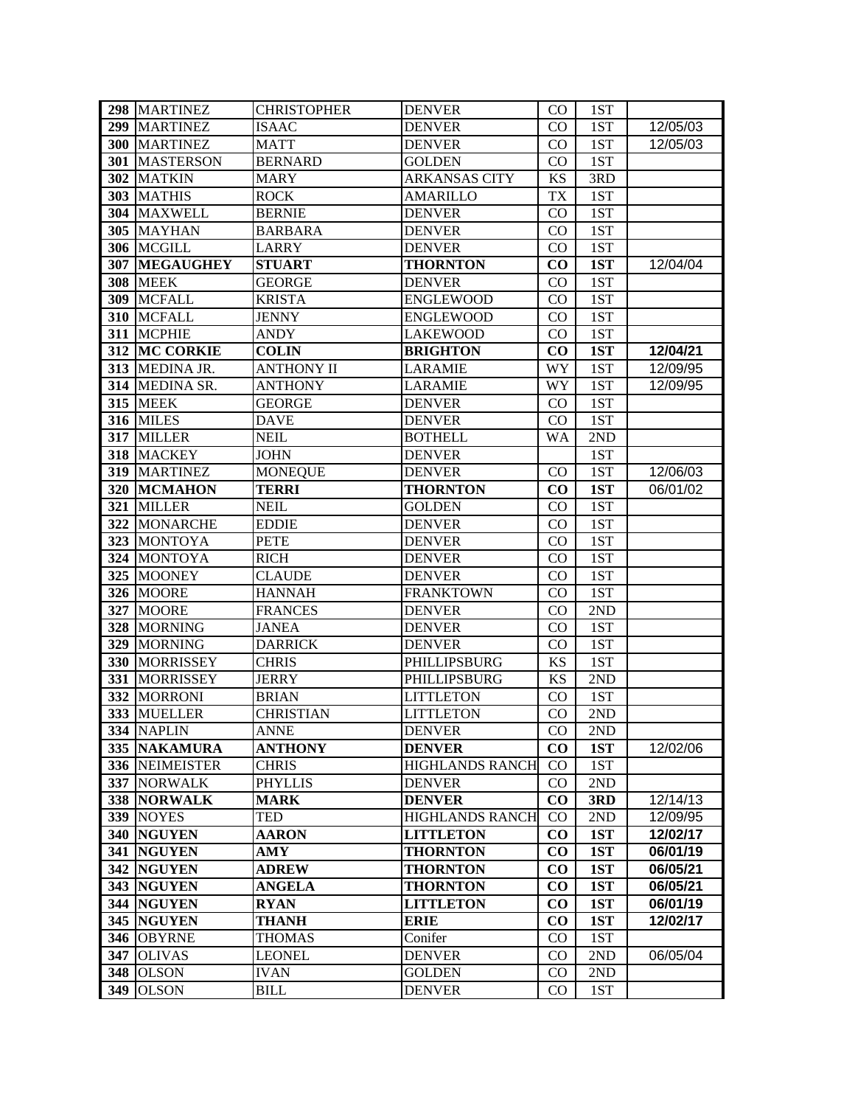|            | 298 MARTINEZ                 | <b>CHRISTOPHER</b>         | <b>DENVER</b>                  | $\rm CO$  | 1ST        |          |
|------------|------------------------------|----------------------------|--------------------------------|-----------|------------|----------|
| 299        | <b>MARTINEZ</b>              | <b>ISAAC</b>               | <b>DENVER</b>                  | CO.       | 1ST        | 12/05/03 |
| <b>300</b> | <b>MARTINEZ</b>              | <b>MATT</b>                | <b>DENVER</b>                  | $\rm CO$  | 1ST        | 12/05/03 |
| 301        | <b>MASTERSON</b>             | <b>BERNARD</b>             | <b>GOLDEN</b>                  | $\rm CO$  | 1ST        |          |
|            | 302 MATKIN                   | <b>MARY</b>                | <b>ARKANSAS CITY</b>           | <b>KS</b> | 3RD        |          |
| 303        | <b>MATHIS</b>                | <b>ROCK</b>                | <b>AMARILLO</b>                | <b>TX</b> | 1ST        |          |
| 304        | <b>MAXWELL</b>               | <b>BERNIE</b>              | <b>DENVER</b>                  | $\rm CO$  | 1ST        |          |
| 305        | <b>MAYHAN</b>                | <b>BARBARA</b>             | <b>DENVER</b>                  | $\rm CO$  | 1ST        |          |
|            | 306 MCGILL                   | <b>LARRY</b>               | <b>DENVER</b>                  | CO        | 1ST        |          |
| <b>307</b> | <b>MEGAUGHEY</b>             | <b>STUART</b>              | <b>THORNTON</b>                | $\bf CO$  | 1ST        | 12/04/04 |
|            | <b>308 MEEK</b>              | <b>GEORGE</b>              | <b>DENVER</b>                  | $\rm CO$  | 1ST        |          |
| 309        | <b>MCFALL</b>                | <b>KRISTA</b>              | <b>ENGLEWOOD</b>               | $\rm CO$  | 1ST        |          |
| <b>310</b> | <b>MCFALL</b>                | <b>JENNY</b>               | <b>ENGLEWOOD</b>               | $\rm CO$  | 1ST        |          |
| 311        | <b>MCPHIE</b>                | <b>ANDY</b>                | <b>LAKEWOOD</b>                | CO        | 1ST        |          |
| 312        | <b>MC CORKIE</b>             | <b>COLIN</b>               | <b>BRIGHTON</b>                | $\bf CO$  | 1ST        | 12/04/21 |
| 313        | MEDINA JR.                   | <b>ANTHONY II</b>          | <b>LARAMIE</b>                 | WY        | 1ST        | 12/09/95 |
| 314        | <b>MEDINA SR.</b>            | <b>ANTHONY</b>             | <b>LARAMIE</b>                 | WY        | 1ST        | 12/09/95 |
| 315        | <b>MEEK</b>                  | <b>GEORGE</b>              | <b>DENVER</b>                  | $\rm CO$  | 1ST        |          |
|            | 316 MILES                    | <b>DAVE</b>                | <b>DENVER</b>                  | CO.       | 1ST        |          |
| 317        | <b>MILLER</b>                | <b>NEIL</b>                | <b>BOTHELL</b>                 | WA        | 2ND        |          |
|            | 318 MACKEY                   | <b>JOHN</b>                | <b>DENVER</b>                  |           | 1ST        |          |
| 319        | <b>MARTINEZ</b>              | <b>MONEQUE</b>             | <b>DENVER</b>                  | CO        | 1ST        | 12/06/03 |
| 320        | <b>MCMAHON</b>               | <b>TERRI</b>               | <b>THORNTON</b>                | $\bf CO$  | 1ST        | 06/01/02 |
| 321        | <b>MILLER</b>                | <b>NEIL</b>                | <b>GOLDEN</b>                  | $\rm CO$  | 1ST        |          |
| 322        | <b>MONARCHE</b>              | <b>EDDIE</b>               | <b>DENVER</b>                  | $\rm CO$  | 1ST        |          |
| 323        | <b>MONTOYA</b>               | <b>PETE</b>                | <b>DENVER</b>                  | CO        | 1ST        |          |
| 324        | <b>MONTOYA</b>               | <b>RICH</b>                | <b>DENVER</b>                  | $\rm CO$  | 1ST        |          |
| 325        | <b>MOONEY</b>                | <b>CLAUDE</b>              | <b>DENVER</b>                  | $\rm CO$  | 1ST        |          |
| 326        | <b>MOORE</b>                 | <b>HANNAH</b>              | <b>FRANKTOWN</b>               | $\rm CO$  | 1ST        |          |
| 327        | <b>MOORE</b>                 | <b>FRANCES</b>             | <b>DENVER</b>                  | CO        | 2ND        |          |
| 328        | <b>MORNING</b>               | <b>JANEA</b>               | <b>DENVER</b>                  | $\rm CO$  | 1ST        |          |
| 329        | <b>MORNING</b>               | <b>DARRICK</b>             | <b>DENVER</b>                  | $\rm CO$  | 1ST        |          |
| 330        | <b>MORRISSEY</b>             | <b>CHRIS</b>               | PHILLIPSBURG                   | <b>KS</b> | 1ST        |          |
| 331        | <b>MORRISSEY</b>             | <b>JERRY</b>               | PHILLIPSBURG                   | <b>KS</b> | 2ND        |          |
| 332        | <b>MORRONI</b>               | <b>BRIAN</b>               | <b>LITTLETON</b>               | CO        | 1ST        |          |
| 333        | <b>MUELLER</b>               | <b>CHRISTIAN</b>           | <b>LITTLETON</b>               | $\rm CO$  | 2ND        |          |
|            | 334 NAPLIN                   | <b>ANNE</b>                | <b>DENVER</b>                  | $\rm CO$  | 2ND        |          |
|            | 335 NAKAMURA                 | <b>ANTHONY</b>             | <b>DENVER</b>                  | $\bf CO$  | 1ST        | 12/02/06 |
|            | 336 NEIMEISTER               | <b>CHRIS</b>               | <b>HIGHLANDS RANCH</b>         | $\rm CO$  | 1ST        |          |
| 337        | <b>NORWALK</b>               | <b>PHYLLIS</b>             | <b>DENVER</b>                  | $\rm CO$  | 2ND        |          |
| 338        | <b>NORWALK</b>               | <b>MARK</b>                | <b>DENVER</b>                  | $\bf CO$  | 3RD        | 12/14/13 |
|            | 339 NOYES                    | <b>TED</b>                 | HIGHLANDS RANCH                | CO        | 2ND        | 12/09/95 |
|            | 340 NGUYEN                   | <b>AARON</b>               | <b>LITTLETON</b>               | $\bf CO$  | 1ST        | 12/02/17 |
| 341        | <b>NGUYEN</b>                | <b>AMY</b>                 | <b>THORNTON</b>                | $\bf CO$  | 1ST        | 06/01/19 |
|            | 342 NGUYEN                   | <b>ADREW</b>               | <b>THORNTON</b>                | $\bf CO$  | 1ST        | 06/05/21 |
|            | 343 NGUYEN                   | <b>ANGELA</b>              | <b>THORNTON</b>                | $\bf CO$  | 1ST        | 06/05/21 |
|            | 344 NGUYEN                   | <b>RYAN</b>                | <b>LITTLETON</b>               | $\bf CO$  | 1ST        | 06/01/19 |
| 345        | <b>NGUYEN</b>                | <b>THANH</b>               | <b>ERIE</b>                    | $\bf CO$  | 1ST        | 12/02/17 |
|            |                              |                            |                                |           |            |          |
| 346        | <b>OBYRNE</b>                | <b>THOMAS</b>              | Conifer                        | $\rm CO$  | 1ST        |          |
| 347        | <b>OLIVAS</b>                | <b>LEONEL</b>              | <b>DENVER</b>                  | $\rm CO$  | 2ND        | 06/05/04 |
| 348<br>349 | <b>OLSON</b><br><b>OLSON</b> | <b>IVAN</b><br><b>BILL</b> | <b>GOLDEN</b><br><b>DENVER</b> | CO.<br>CO | 2ND<br>1ST |          |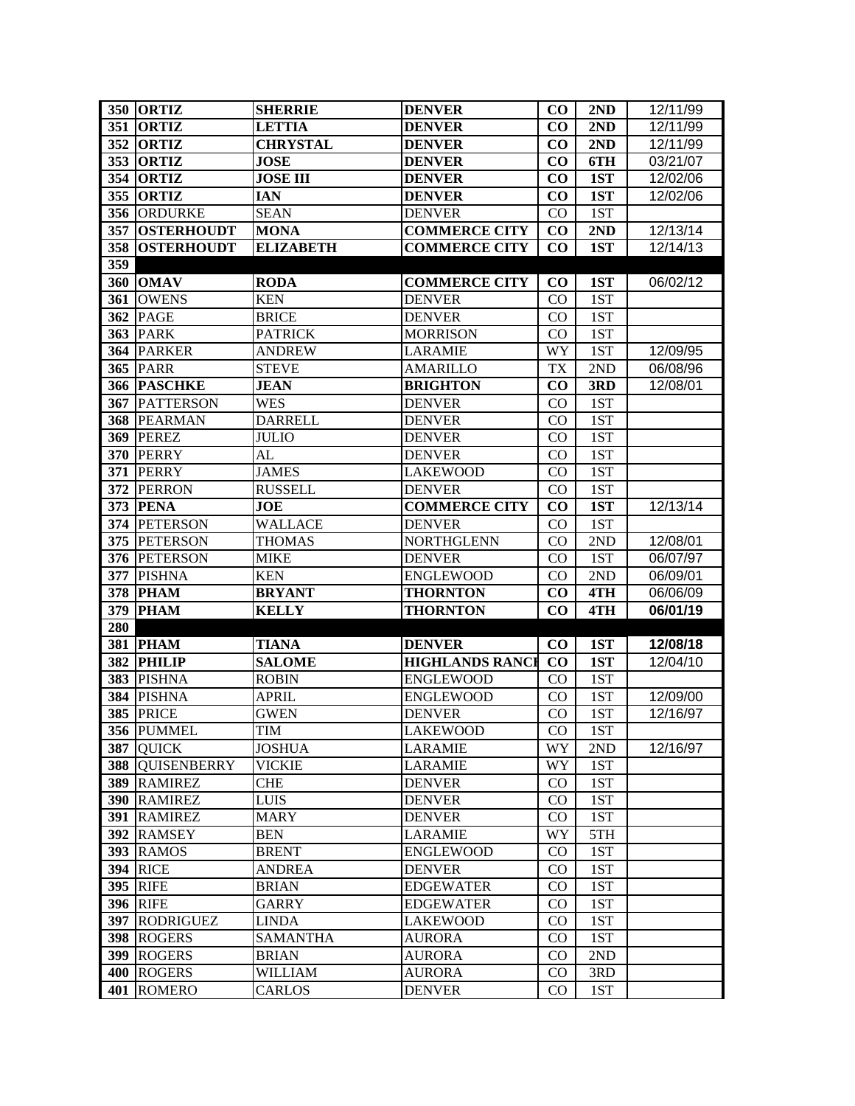|            | <b>350 ORTIZ</b>                 | <b>SHERRIE</b>                | <b>DENVER</b>                      | $\bf CO$       | 2ND        | 12/11/99 |
|------------|----------------------------------|-------------------------------|------------------------------------|----------------|------------|----------|
| 351        | <b>ORTIZ</b>                     | <b>LETTIA</b>                 | <b>DENVER</b>                      | $\bf CO$       | 2ND        | 12/11/99 |
| 352        | <b>ORTIZ</b>                     | <b>CHRYSTAL</b>               | <b>DENVER</b>                      | CO             | 2ND        | 12/11/99 |
| 353        | <b>ORTIZ</b>                     | <b>JOSE</b>                   | <b>DENVER</b>                      | $\bf CO$       | 6TH        | 03/21/07 |
| 354        | <b>ORTIZ</b>                     | <b>JOSE III</b>               | <b>DENVER</b>                      | CO             | 1ST        | 12/02/06 |
| 355        | <b>ORTIZ</b>                     | IAN                           | <b>DENVER</b>                      | CO             | 1ST        | 12/02/06 |
| 356        | <b>ORDURKE</b>                   | <b>SEAN</b>                   | <b>DENVER</b>                      | CO             | 1ST        |          |
| 357        | <b>OSTERHOUDT</b>                | <b>MONA</b>                   | <b>COMMERCE CITY</b>               | CO             | 2ND        | 12/13/14 |
| 358        | <b>OSTERHOUDT</b>                | <b>ELIZABETH</b>              | <b>COMMERCE CITY</b>               | $\bf CO$       | 1ST        | 12/14/13 |
| 359        |                                  |                               |                                    |                |            |          |
| <b>360</b> | <b>OMAV</b>                      | <b>RODA</b>                   | <b>COMMERCE CITY</b>               | $\bf CO$       | 1ST        | 06/02/12 |
| 361        | <b>OWENS</b>                     | <b>KEN</b>                    | <b>DENVER</b>                      | $\rm CO$       | 1ST        |          |
| 362        | <b>PAGE</b>                      | <b>BRICE</b>                  | <b>DENVER</b>                      | $\rm CO$       | 1ST        |          |
| 363        | <b>PARK</b>                      | <b>PATRICK</b>                | <b>MORRISON</b>                    | $\rm CO$       | 1ST        |          |
| 364        | <b>PARKER</b>                    | <b>ANDREW</b>                 | <b>LARAMIE</b>                     | WY             | 1ST        | 12/09/95 |
| 365        | <b>PARR</b>                      | <b>STEVE</b>                  | <b>AMARILLO</b>                    | <b>TX</b>      | 2ND        | 06/08/96 |
| 366        | <b>PASCHKE</b>                   | <b>JEAN</b>                   | <b>BRIGHTON</b>                    | $\bf CO$       | 3RD        | 12/08/01 |
| 367        | <b>PATTERSON</b>                 | WES                           | <b>DENVER</b>                      | CO             | 1ST        |          |
| 368        | <b>PEARMAN</b>                   | <b>DARRELL</b>                | <b>DENVER</b>                      | $_{\rm CO}$    | 1ST        |          |
| 369        | <b>PEREZ</b>                     | <b>JULIO</b>                  | <b>DENVER</b>                      | $_{\rm CO}$    | 1ST        |          |
| <b>370</b> | <b>PERRY</b>                     | AL                            | <b>DENVER</b>                      | $\rm CO$       | 1ST        |          |
| 371        | <b>PERRY</b>                     | <b>JAMES</b>                  | <b>LAKEWOOD</b>                    | CO             | 1ST        |          |
| 372        | <b>PERRON</b>                    | <b>RUSSELL</b>                | <b>DENVER</b>                      | CO             | 1ST        |          |
| 373        | <b>PENA</b>                      | <b>JOE</b>                    | <b>COMMERCE CITY</b>               | CO             | 1ST        | 12/13/14 |
| 374        | <b>PETERSON</b>                  | <b>WALLACE</b>                | <b>DENVER</b>                      | CO             | 1ST        |          |
| 375        | <b>PETERSON</b>                  | <b>THOMAS</b>                 | <b>NORTHGLENN</b>                  | $\rm CO$       | 2ND        | 12/08/01 |
|            |                                  | <b>MIKE</b>                   | <b>DENVER</b>                      |                |            |          |
|            | 376 PETERSON                     |                               |                                    | CO             | 1ST        | 06/07/97 |
| 377        | <b>PISHNA</b>                    | <b>KEN</b>                    | <b>ENGLEWOOD</b>                   | $\rm CO$       | 2ND        | 06/09/01 |
| 378        | <b>PHAM</b>                      | <b>BRYANT</b>                 | <b>THORNTON</b>                    | $\bf CO$       | 4TH        | 06/06/09 |
| 379        | <b>PHAM</b>                      | <b>KELLY</b>                  | <b>THORNTON</b>                    | CO             | 4TH        | 06/01/19 |
| 280        |                                  |                               |                                    |                |            |          |
| 381        | <b>PHAM</b>                      | <b>TIANA</b>                  | <b>DENVER</b>                      | $\bf CO$       | 1ST        | 12/08/18 |
| 382        | <b>PHILIP</b>                    | <b>SALOME</b>                 | <b>HIGHLANDS RANCE</b>             | CO             | 1ST        | 12/04/10 |
| 383        | <b>PISHNA</b>                    | <b>ROBIN</b>                  | <b>ENGLEWOOD</b>                   | $\rm CO$       | 1ST        |          |
| 384        | <b>PISHNA</b>                    | <b>APRIL</b>                  | <b>ENGLEWOOD</b>                   | $\rm CO$       | 1ST        | 12/09/00 |
| 385        | <b>PRICE</b>                     | <b>GWEN</b>                   | <b>DENVER</b>                      | $\rm CO$       | 1ST        | 12/16/97 |
|            | 356 PUMMEL                       | TIM                           | <b>LAKEWOOD</b>                    | CO             | 1ST        |          |
| 387        | <b>QUICK</b>                     | <b>JOSHUA</b>                 | <b>LARAMIE</b>                     | WY             | 2ND        | 12/16/97 |
| 388        | <b>QUISENBERRY</b>               | <b>VICKIE</b>                 | <b>LARAMIE</b>                     | WY             | 1ST        |          |
| 389        | <b>RAMIREZ</b><br><b>RAMIREZ</b> | <b>CHE</b>                    | <b>DENVER</b>                      | $\rm CO$       | 1ST        |          |
| 390        |                                  | <b>LUIS</b>                   | <b>DENVER</b>                      | CO             | 1ST        |          |
| 391        | <b>RAMIREZ</b>                   | <b>MARY</b>                   | <b>DENVER</b>                      | CO.            | 1ST        |          |
|            | 392 RAMSEY<br>393 RAMOS          | <b>BEN</b><br><b>BRENT</b>    | <b>LARAMIE</b><br><b>ENGLEWOOD</b> | WY<br>$\rm CO$ | 5TH<br>1ST |          |
|            | <b>394 RICE</b>                  |                               | <b>DENVER</b>                      | CO             | 1ST        |          |
| 395        | <b>RIFE</b>                      | <b>ANDREA</b><br><b>BRIAN</b> | <b>EDGEWATER</b>                   | $\rm CO$       | 1ST        |          |
| 396        | <b>RIFE</b>                      | <b>GARRY</b>                  | <b>EDGEWATER</b>                   | $\rm CO$       | 1ST        |          |
| 397        | <b>RODRIGUEZ</b>                 | <b>LINDA</b>                  | <b>LAKEWOOD</b>                    | $\rm CO$       | 1ST        |          |
| 398        | <b>ROGERS</b>                    | <b>SAMANTHA</b>               | <b>AURORA</b>                      | $\rm CO$       | 1ST        |          |
| 399        | <b>ROGERS</b>                    | <b>BRIAN</b>                  | <b>AURORA</b>                      | CO             | 2ND        |          |
| 400        | <b>ROGERS</b>                    | WILLIAM                       | <b>AURORA</b>                      | CO             | 3RD        |          |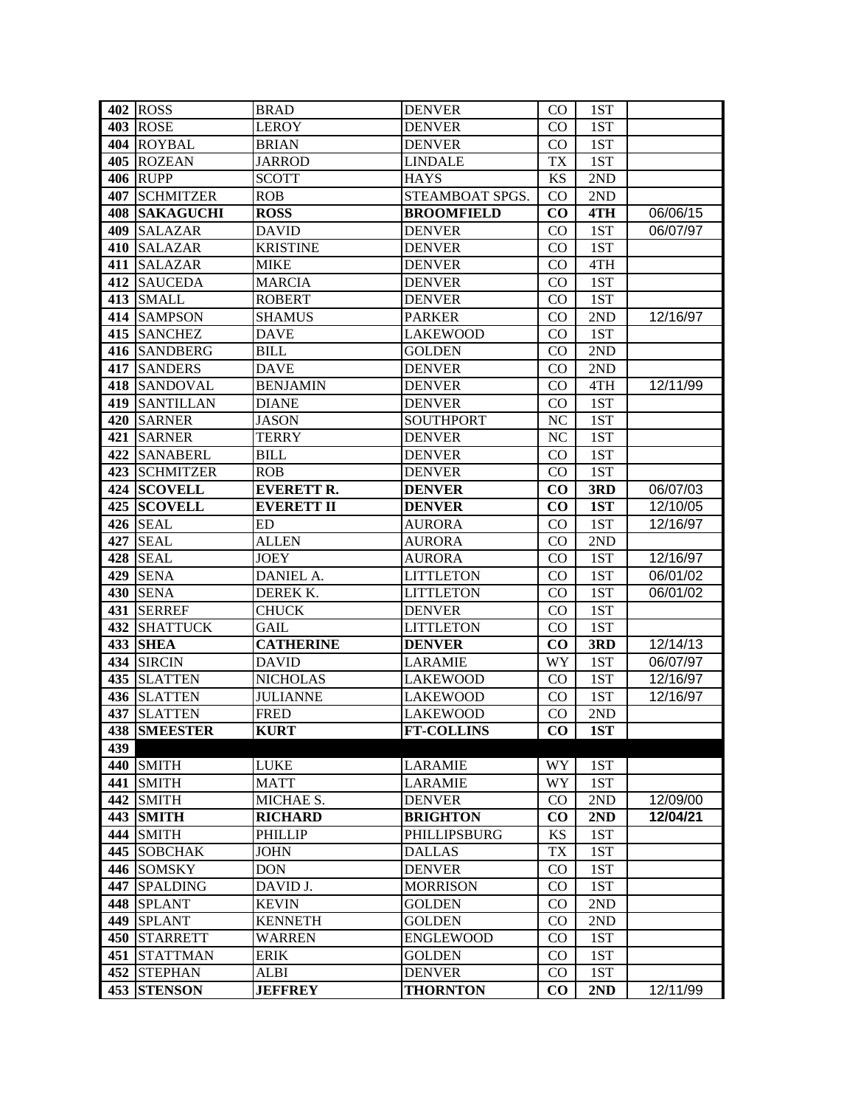|       | 402 ROSS             | <b>BRAD</b>       | <b>DENVER</b>     | $\rm CO$  | 1ST |          |
|-------|----------------------|-------------------|-------------------|-----------|-----|----------|
|       | 403 ROSE             | LEROY             | <b>DENVER</b>     | CO.       | 1ST |          |
|       | 404 ROYBAL           | <b>BRIAN</b>      | <b>DENVER</b>     | $\rm CO$  | 1ST |          |
|       | 405 ROZEAN           | <b>JARROD</b>     | <b>LINDALE</b>    | TX        | 1ST |          |
|       | <b>406 RUPP</b>      | <b>SCOTT</b>      | <b>HAYS</b>       | <b>KS</b> | 2ND |          |
| 407   | <b>SCHMITZER</b>     | <b>ROB</b>        | STEAMBOAT SPGS.   | $\rm CO$  | 2ND |          |
|       | <b>408 SAKAGUCHI</b> | <b>ROSS</b>       | <b>BROOMFIELD</b> | CO        | 4TH | 06/06/15 |
| 409   | <b>SALAZAR</b>       | <b>DAVID</b>      | <b>DENVER</b>     | $\rm CO$  | 1ST | 06/07/97 |
| 410   | <b>SALAZAR</b>       | <b>KRISTINE</b>   | <b>DENVER</b>     | CO        | 1ST |          |
| 411   | <b>SALAZAR</b>       | <b>MIKE</b>       | <b>DENVER</b>     | $\rm CO$  | 4TH |          |
| 412   | <b>SAUCEDA</b>       | <b>MARCIA</b>     | <b>DENVER</b>     | $\rm CO$  | 1ST |          |
|       | 413 SMALL            | <b>ROBERT</b>     | <b>DENVER</b>     | $\rm CO$  | 1ST |          |
|       | 414 SAMPSON          | <b>SHAMUS</b>     | <b>PARKER</b>     | $\rm CO$  | 2ND | 12/16/97 |
|       | 415 SANCHEZ          | <b>DAVE</b>       | <b>LAKEWOOD</b>   | $\rm CO$  | 1ST |          |
|       | 416 SANDBERG         | <b>BILL</b>       | <b>GOLDEN</b>     | $\rm CO$  | 2ND |          |
| 417   | <b>SANDERS</b>       | <b>DAVE</b>       | <b>DENVER</b>     | $\rm CO$  | 2ND |          |
|       | 418 SANDOVAL         | <b>BENJAMIN</b>   | <b>DENVER</b>     | $\rm CO$  | 4TH | 12/11/99 |
|       | 419 SANTILLAN        | <b>DIANE</b>      | <b>DENVER</b>     | $\rm CO$  | 1ST |          |
|       | 420 SARNER           | <b>JASON</b>      | SOUTHPORT         | NC        | 1ST |          |
|       | 421 SARNER           | <b>TERRY</b>      | <b>DENVER</b>     | NC        | 1ST |          |
|       | 422 SANABERL         | <b>BILL</b>       | <b>DENVER</b>     | $\rm CO$  | 1ST |          |
|       | 423 SCHMITZER        | <b>ROB</b>        | <b>DENVER</b>     | $\rm CO$  | 1ST |          |
|       | 424 SCOVELL          | <b>EVERETT R.</b> | <b>DENVER</b>     | CO        | 3RD | 06/07/03 |
|       | 425 SCOVELL          | <b>EVERETT II</b> | <b>DENVER</b>     | CO        | 1ST | 12/10/05 |
|       | <b>426 SEAL</b>      | <b>ED</b>         | <b>AURORA</b>     | $\rm CO$  | 1ST | 12/16/97 |
| 427   | <b>SEAL</b>          | <b>ALLEN</b>      | <b>AURORA</b>     | CO        | 2ND |          |
| 428   | <b>SEAL</b>          | <b>JOEY</b>       | <b>AURORA</b>     | $\rm CO$  | 1ST | 12/16/97 |
| 429   | <b>SENA</b>          | DANIEL A.         | <b>LITTLETON</b>  | $\rm CO$  | 1ST | 06/01/02 |
|       | <b>430 SENA</b>      | DEREK K.          | <b>LITTLETON</b>  | $\rm CO$  | 1ST | 06/01/02 |
|       | 431 SERREF           | <b>CHUCK</b>      | <b>DENVER</b>     | $\rm CO$  | 1ST |          |
|       | <b>432 SHATTUCK</b>  | GAIL              | <b>LITTLETON</b>  | $\rm CO$  | 1ST |          |
|       | <b>433 SHEA</b>      | <b>CATHERINE</b>  | <b>DENVER</b>     | $\bf CO$  | 3RD | 12/14/13 |
| 434   | <b>SIRCIN</b>        | <b>DAVID</b>      | LARAMIE           | WY        | 1ST | 06/07/97 |
| 435   | <b>SLATTEN</b>       | <b>NICHOLAS</b>   | LAKEWOOD          | $\rm CO$  | 1ST | 12/16/97 |
| 436   | <b>SLATTEN</b>       | <b>JULIANNE</b>   | LAKEWOOD          | CO        | 1ST | 12/16/97 |
| 437   | <b>SLATTEN</b>       | <b>FRED</b>       | LAKEWOOD          | $\rm CO$  | 2ND |          |
|       | <b>438 SMEESTER</b>  | <b>KURT</b>       | <b>FT-COLLINS</b> | $\bf CO$  | 1ST |          |
| 439   |                      |                   |                   |           |     |          |
|       | 440 SMITH            | <b>LUKE</b>       | <b>LARAMIE</b>    | WY        | 1ST |          |
|       | 441 SMITH            | <b>MATT</b>       | <b>LARAMIE</b>    | WY        | 1ST |          |
|       | 442 SMITH            | MICHAE S.         | <b>DENVER</b>     | $\rm CO$  | 2ND | 12/09/00 |
|       | <b>443 SMITH</b>     | <b>RICHARD</b>    | <b>BRIGHTON</b>   | $\bf CO$  | 2ND | 12/04/21 |
| 444 I | <b>SMITH</b>         | <b>PHILLIP</b>    | PHILLIPSBURG      | KS        | 1ST |          |
| 445   | <b>SOBCHAK</b>       | <b>JOHN</b>       | <b>DALLAS</b>     | TX        | 1ST |          |
|       | 446 SOMSKY           | <b>DON</b>        | <b>DENVER</b>     | $\rm CO$  | 1ST |          |
|       | 447 SPALDING         | DAVID J.          | <b>MORRISON</b>   | CO        | 1ST |          |
|       | 448 SPLANT           | <b>KEVIN</b>      | <b>GOLDEN</b>     | $\rm CO$  | 2ND |          |
|       | 449 SPLANT           | <b>KENNETH</b>    | <b>GOLDEN</b>     | $\rm CO$  | 2ND |          |
| 450   | <b>STARRETT</b>      | <b>WARREN</b>     | <b>ENGLEWOOD</b>  | $\rm CO$  | 1ST |          |
|       | 451 STATTMAN         | <b>ERIK</b>       | <b>GOLDEN</b>     | $\rm CO$  | 1ST |          |
| 452   | <b>STEPHAN</b>       | <b>ALBI</b>       | <b>DENVER</b>     | CO        | 1ST |          |
| 453   | <b>STENSON</b>       | <b>JEFFREY</b>    | <b>THORNTON</b>   | $\bf CO$  | 2ND | 12/11/99 |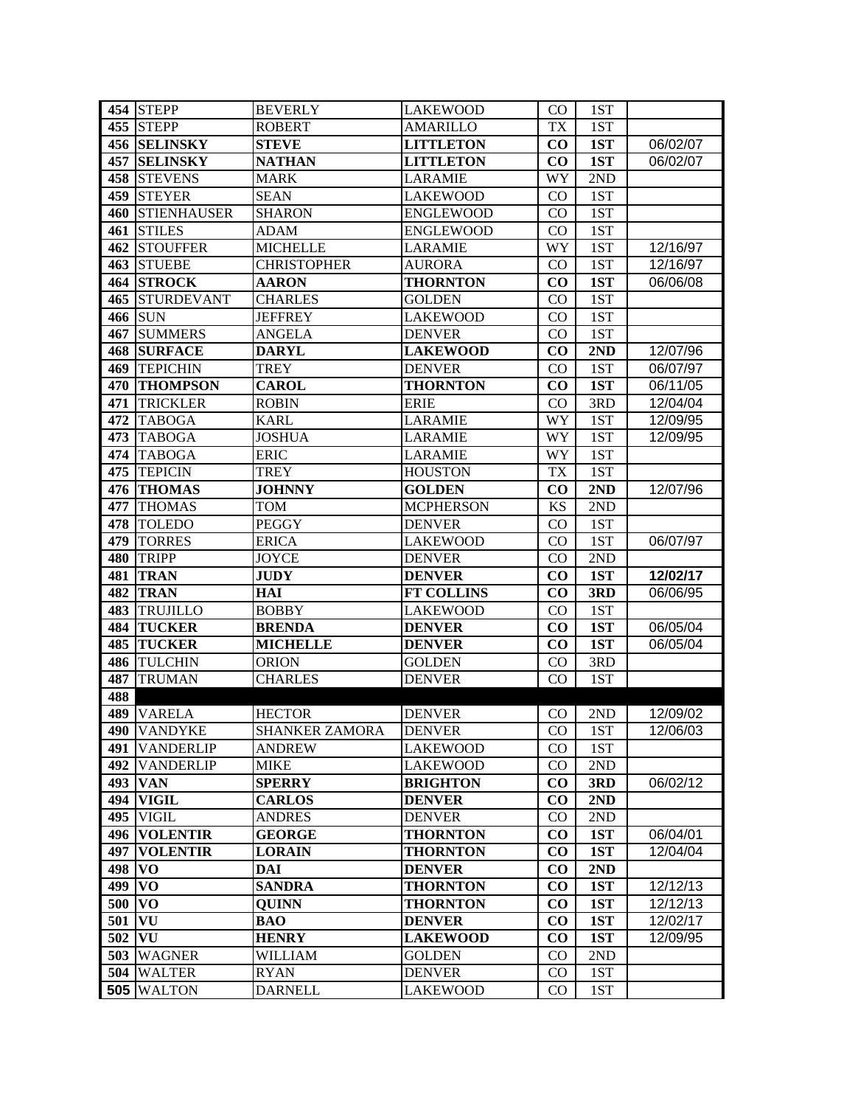|          | 454 STEPP              | <b>BEVERLY</b>        | <b>LAKEWOOD</b>   | $\rm CO$  | 1ST |          |
|----------|------------------------|-----------------------|-------------------|-----------|-----|----------|
|          | 455 STEPP              | <b>ROBERT</b>         | <b>AMARILLO</b>   | TX        | 1ST |          |
|          | <b>456 SELINSKY</b>    | <b>STEVE</b>          | <b>LITTLETON</b>  | $\bf CO$  | 1ST | 06/02/07 |
| 457      | <b>SELINSKY</b>        | <b>NATHAN</b>         | <b>LITTLETON</b>  | CO        | 1ST | 06/02/07 |
|          | 458 STEVENS            | <b>MARK</b>           | <b>LARAMIE</b>    | WY        | 2ND |          |
|          | 459 STEYER             | <b>SEAN</b>           | <b>LAKEWOOD</b>   | $\rm CO$  | 1ST |          |
|          | <b>460 STIENHAUSER</b> | <b>SHARON</b>         | <b>ENGLEWOOD</b>  | $\rm CO$  | 1ST |          |
| 461      | <b>STILES</b>          | <b>ADAM</b>           | <b>ENGLEWOOD</b>  | CO        | 1ST |          |
| 462      | <b>STOUFFER</b>        | <b>MICHELLE</b>       | <b>LARAMIE</b>    | WY        | 1ST | 12/16/97 |
| 463      | <b>STUEBE</b>          | <b>CHRISTOPHER</b>    | <b>AURORA</b>     | $\rm CO$  | 1ST | 12/16/97 |
| 464      | <b>STROCK</b>          | <b>AARON</b>          | <b>THORNTON</b>   | $\bf CO$  | 1ST | 06/06/08 |
| 465      | <b>STURDEVANT</b>      | <b>CHARLES</b>        | <b>GOLDEN</b>     | $\rm CO$  | 1ST |          |
|          | <b>466 SUN</b>         | <b>JEFFREY</b>        | <b>LAKEWOOD</b>   | $\rm CO$  | 1ST |          |
| 467      | <b>SUMMERS</b>         | ANGELA                | <b>DENVER</b>     | $\rm CO$  | 1ST |          |
| 468      | <b>SURFACE</b>         | <b>DARYL</b>          | <b>LAKEWOOD</b>   | CO        | 2ND | 12/07/96 |
| 469      | <b>TEPICHIN</b>        | TREY                  | <b>DENVER</b>     | $\rm CO$  | 1ST | 06/07/97 |
| 470      | <b>THOMPSON</b>        | <b>CAROL</b>          | <b>THORNTON</b>   | CO        | 1ST | 06/11/05 |
| 471      | <b>TRICKLER</b>        | <b>ROBIN</b>          | <b>ERIE</b>       | CO        | 3RD | 12/04/04 |
| 472      | <b>TABOGA</b>          | <b>KARL</b>           | <b>LARAMIE</b>    | WY        | 1ST | 12/09/95 |
| 473      | <b>TABOGA</b>          | <b>JOSHUA</b>         | <b>LARAMIE</b>    | WY        | 1ST | 12/09/95 |
| 474      | <b>TABOGA</b>          | <b>ERIC</b>           | <b>LARAMIE</b>    | WY        | 1ST |          |
| 475      | <b>TEPICIN</b>         | <b>TREY</b>           | <b>HOUSTON</b>    | <b>TX</b> | 1ST |          |
|          | 476 THOMAS             | <b>JOHNNY</b>         | <b>GOLDEN</b>     | $\bf CO$  | 2ND | 12/07/96 |
| 477      | <b>THOMAS</b>          | TOM                   | <b>MCPHERSON</b>  | <b>KS</b> | 2ND |          |
| 478      | <b>TOLEDO</b>          | <b>PEGGY</b>          | <b>DENVER</b>     | CO        | 1ST |          |
| 479      | <b>TORRES</b>          | <b>ERICA</b>          | <b>LAKEWOOD</b>   | CO        | 1ST | 06/07/97 |
| 480      | <b>TRIPP</b>           | <b>JOYCE</b>          | <b>DENVER</b>     | $\rm CO$  | 2ND |          |
| 481      | <b>TRAN</b>            | <b>JUDY</b>           | <b>DENVER</b>     | $\bf CO$  | 1ST | 12/02/17 |
| 482      | <b>TRAN</b>            | HAI                   | <b>FT COLLINS</b> | CO        | 3RD | 06/06/95 |
| 483      | <b>TRUJILLO</b>        | <b>BOBBY</b>          | <b>LAKEWOOD</b>   | CO        | 1ST |          |
| 484      | <b>TUCKER</b>          | <b>BRENDA</b>         | <b>DENVER</b>     | $\bf CO$  | 1ST | 06/05/04 |
| 485      | <b>TUCKER</b>          | <b>MICHELLE</b>       | <b>DENVER</b>     | $\bf CO$  | 1ST | 06/05/04 |
| 486      | <b>TULCHIN</b>         | <b>ORION</b>          | <b>GOLDEN</b>     | $\rm CO$  | 3RD |          |
| 487      | <b>TRUMAN</b>          | <b>CHARLES</b>        | <b>DENVER</b>     | CO        | 1ST |          |
| 488      |                        |                       |                   |           |     |          |
| 489      | <b>VARELA</b>          | <b>HECTOR</b>         | <b>DENVER</b>     | CO        | 2ND | 12/09/02 |
|          | 490 VANDYKE            | <b>SHANKER ZAMORA</b> | <b>DENVER</b>     | $\rm CO$  | 1ST | 12/06/03 |
|          | 491 VANDERLIP          | <b>ANDREW</b>         | <b>LAKEWOOD</b>   | $\rm CO$  | 1ST |          |
|          | 492 VANDERLIP          | <b>MIKE</b>           | <b>LAKEWOOD</b>   | $\rm CO$  | 2ND |          |
|          | 493 VAN                | <b>SPERRY</b>         | <b>BRIGHTON</b>   | $\bf CO$  | 3RD | 06/02/12 |
| 494      | <b>VIGIL</b>           | <b>CARLOS</b>         | <b>DENVER</b>     | CO        | 2ND |          |
| 495      | <b>VIGIL</b>           | <b>ANDRES</b>         | <b>DENVER</b>     | CO        | 2ND |          |
| 496      | <b>VOLENTIR</b>        | <b>GEORGE</b>         | <b>THORNTON</b>   | $\bf CO$  | 1ST | 06/04/01 |
| 497      | <b>VOLENTIR</b>        | <b>LORAIN</b>         | <b>THORNTON</b>   | $\bf CO$  | 1ST | 12/04/04 |
| 498      | V <sub>O</sub>         | DAI                   | <b>DENVER</b>     | $\bf CO$  | 2ND |          |
| $499$ VO |                        | <b>SANDRA</b>         | <b>THORNTON</b>   | $\bf CO$  | 1ST | 12/12/13 |
| 500      | VO                     | <b>QUINN</b>          | <b>THORNTON</b>   | $\bf CO$  | 1ST | 12/12/13 |
| 501      | VU                     | BAO                   | <b>DENVER</b>     | $\bf CO$  | 1ST | 12/02/17 |
| 502      | VU                     | <b>HENRY</b>          | <b>LAKEWOOD</b>   | $\bf CO$  | 1ST | 12/09/95 |
| 503      | <b>WAGNER</b>          | WILLIAM               | <b>GOLDEN</b>     | $\rm CO$  | 2ND |          |
| 504      | <b>WALTER</b>          | <b>RYAN</b>           | <b>DENVER</b>     | CO.       | 1ST |          |
| 505      | <b>WALTON</b>          | <b>DARNELL</b>        | <b>LAKEWOOD</b>   | CO.       | 1ST |          |